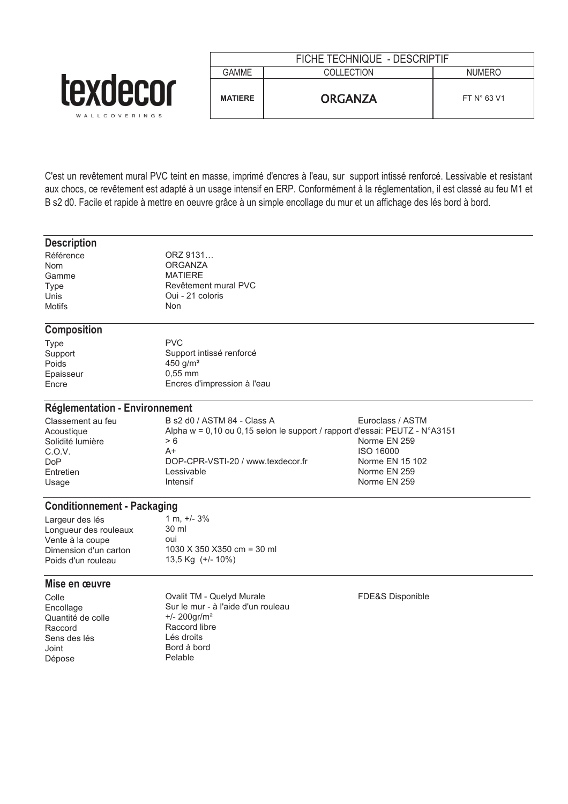|                              | FICHE TECHNIQUE - DESCRIPTIF |                   |               |
|------------------------------|------------------------------|-------------------|---------------|
|                              | GAMME                        | <b>COLLECTION</b> | <b>NUMERC</b> |
| <b>TAXU</b><br>WALLCOVERINGS | <b>MATIERE</b>               | <b>ORGANZA</b>    | FT N° 63 V1   |

C'est un revêtement mural PVC teint en masse, imprimé d'encres à l'eau, sur support intissé renforcé. Lessivable et resistant aux chocs, ce revêtement est adapté à un usage intensif en ERP. Conformément à la réglementation, il est classé au feu M1 et B s2 d0. Facile et rapide à mettre en oeuvre grâce à un simple encollage du mur et un affichage des lés bord à bord.

### **Description**

| Référence     | <b>OR<sub>2</sub></b> |
|---------------|-----------------------|
| <b>Nom</b>    | OR <sub>0</sub>       |
| Gamme         | MA <sub>1</sub>       |
| Type          | Rev                   |
| Unis          | Oui                   |
| <b>Motifs</b> | Non                   |
|               |                       |

ORZ 9131... **ORGANZA** MATIERE Revêtement mural PVC Oui - 21 coloris<br>Non

# **Composition**

| Type      | PVC.                        |
|-----------|-----------------------------|
| Support   | Support intissé renforcé    |
| Poids     | 450 $q/m^2$                 |
| Epaisseur | $0.55$ mm                   |
| Encre     | Encres d'impression à l'eau |
|           |                             |

## **Réglementation - Environnement**

| Classement au feu | B s2 d0 / ASTM 84 - Class A                                                           | Euroclass / ASTM |
|-------------------|---------------------------------------------------------------------------------------|------------------|
| Acoustique        | Alpha $w = 0.10$ ou 0.15 selon le support / rapport d'essai: PEUTZ - $N^{\circ}A3151$ |                  |
| Solidité lumière  | > 6                                                                                   | Norme EN 259     |
| C.O.V.            | A+                                                                                    | <b>ISO 16000</b> |
| DoP               | DOP-CPR-VSTI-20 / www.texdecor.fr                                                     | Norme EN 15 102  |
| Entretien         | Lessivable                                                                            | Norme EN 259     |
| Usage             | Intensif                                                                              | Norme EN 259     |

## **Conditionnement - Packaging**

| Largeur des lés       | 1 m. $+/- 3\%$              |
|-----------------------|-----------------------------|
| Lonqueur des rouleaux | 30 ml                       |
| Vente à la coupe      | <b>OUI</b>                  |
| Dimension d'un carton | 1030 X 350 X 350 cm = 30 ml |
| Poids d'un rouleau    | 13.5 Kg (+/- 10%)           |
|                       |                             |

## **Mise en œuvre**

Colle Ovalit TM - Quelyd Murale FDE&S Disponible Encollage Sur le mur - à l'aide d'un rouleau<br>
Quantité de colle  $4/200$ gr/m<sup>2</sup> Quantité de colle<br>Raccord Sens des lés Lés droits Joint Bord à bord<br>
Dépose de Pelable Dépose

Raccord libre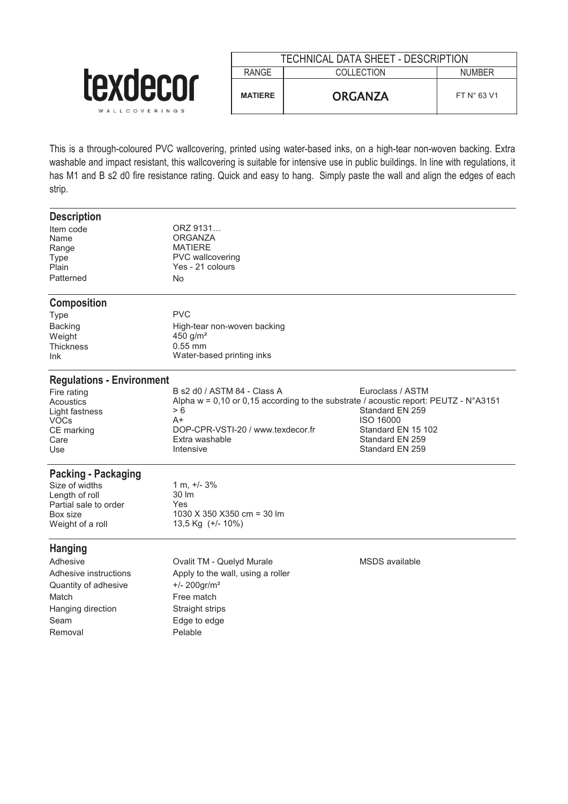|                                  | TECHNICAL DATA SHEET - DESCRIPTION |                |                      |
|----------------------------------|------------------------------------|----------------|----------------------|
|                                  | <b>RANGE</b>                       | COLLECTION     | <b>NUMBER</b>        |
| <b>LEXQECOL</b><br>WALLCOVERINGS | <b>MATIERE</b>                     | <b>ORGANZA</b> | FT $N^{\circ}$ 63 V1 |

This is a through-coloured PVC wallcovering, printed using water-based inks, on a high-tear non-woven backing. Extra washable and impact resistant, this wallcovering is suitable for intensive use in public buildings. In line with regulations, it has M1 and B s2 d0 fire resistance rating. Quick and easy to hang. Simply paste the wall and align the edges of each strip.

| <b>Description</b>               |                                                                                        |                                    |
|----------------------------------|----------------------------------------------------------------------------------------|------------------------------------|
| Item code                        | ORZ 9131                                                                               |                                    |
| Name                             | ORGANZA                                                                                |                                    |
| Range                            | <b>MATIERE</b>                                                                         |                                    |
| <b>Type</b>                      | <b>PVC</b> wallcovering                                                                |                                    |
| Plain                            | Yes - 21 colours                                                                       |                                    |
| Patterned                        | <b>No</b>                                                                              |                                    |
| <b>Composition</b>               |                                                                                        |                                    |
| <b>Type</b>                      | <b>PVC</b>                                                                             |                                    |
| <b>Backing</b>                   | High-tear non-woven backing                                                            |                                    |
| Weight                           | 450 $g/m2$                                                                             |                                    |
| <b>Thickness</b>                 | $0.55$ mm                                                                              |                                    |
| Ink                              | Water-based printing inks                                                              |                                    |
| <b>Regulations - Environment</b> |                                                                                        |                                    |
| Fire rating                      | B s2 d0 / ASTM 84 - Class A                                                            | Euroclass / ASTM                   |
| Acoustics                        | Alpha $w = 0,10$ or 0,15 according to the substrate / acoustic report: PEUTZ - N°A3151 |                                    |
| Light fastness                   | > 6                                                                                    | Standard EN 259                    |
| <b>VOCs</b>                      | A+                                                                                     | <b>ISO 16000</b>                   |
| CE marking                       | DOP-CPR-VSTI-20 / www.texdecor.fr                                                      | Standard EN 15 102                 |
| Care                             | Extra washable<br>Intensive                                                            | Standard EN 259<br>Standard EN 259 |
| Use                              |                                                                                        |                                    |
| <b>Packing - Packaging</b>       |                                                                                        |                                    |
| Size of widths                   | $1 m, +/- 3%$                                                                          |                                    |
| Length of roll                   | 30 lm                                                                                  |                                    |
| Partial sale to order            | Yes                                                                                    |                                    |
| Box size                         | 1030 X 350 X 350 cm = 30 lm                                                            |                                    |
| Weight of a roll                 | 13,5 Kg (+/- 10%)                                                                      |                                    |
| <b>Hanging</b>                   |                                                                                        |                                    |
| Adhesive                         | Ovalit TM - Quelyd Murale                                                              | <b>MSDS</b> available              |
| Adhesive instructions            | Apply to the wall, using a roller                                                      |                                    |
| Quantity of adhesive             | $+/- 200$ gr/m <sup>2</sup>                                                            |                                    |
| Match                            | Free match                                                                             |                                    |
| Hanging direction                | Straight strips                                                                        |                                    |
| Seam                             | Edge to edge                                                                           |                                    |
|                                  |                                                                                        |                                    |
| Removal                          | Pelable                                                                                |                                    |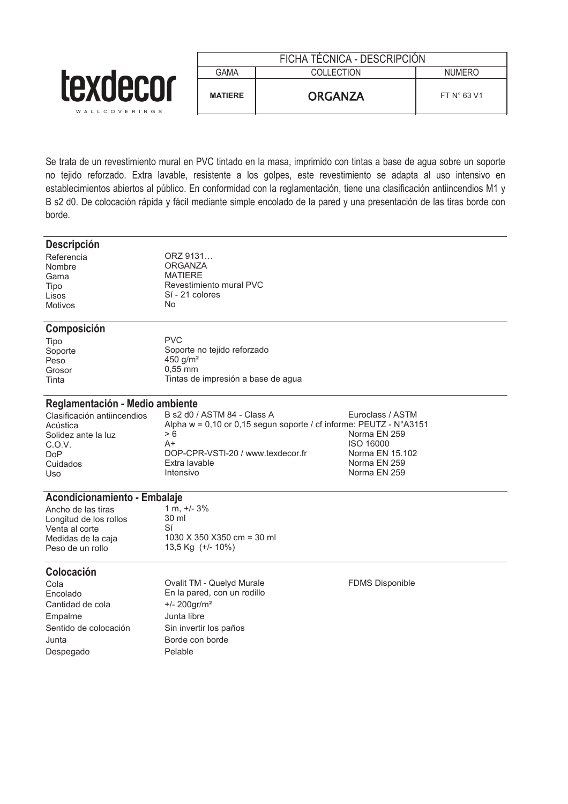|                           | FICHA TÉCNICA - DESCRIPCIÓN |                |                      |
|---------------------------|-----------------------------|----------------|----------------------|
|                           | <b>GAMA</b>                 | COLLECTION     | <b>NUMERO</b>        |
| texdecor<br>WALLCOVERINGS | <b>MATIERE</b>              | <b>ORGANZA</b> | FT $N^{\circ}$ 63 V1 |

Se trata de un revestimiento mural en PVC tintado en la masa, imprimido con tintas a base de agua sobre un soporte no tejido reforzado. Extra lavable, resistente a los golpes, este revestimiento se adapta al uso intensivo en establecimientos abiertos al público. En conformidad con la reglamentación, tiene una clasificación antiincendios M1 y B s2 d0. De colocación rápida y fácil mediante simple encolado de la pared y una presentación de las tiras borde con borde.

#### **Descripción**

Gama MATIERE<br>Tipo Revestimi Motivos

Referencia ORZ 9131...<br>Nombre ORGANZA Nombre ORGANZA<br>Gama MATIERE Tipo Revestimiento mural PVC Sí - 21 colores

#### **Composición**

| Tipo    |  |
|---------|--|
| Soporte |  |
| Peso    |  |
| Grosor  |  |
| Tinta   |  |

PVC Soporte no tejido reforzado 450 g/m<sup>2</sup>  $0.55$  mm Tintas de impresión a base de agua

# **Reglamentación - Medio ambiente**<br>Clasificación antijncendios B s2 d0 /

Clasificación antiincendios B s2 d0 / ASTM 84 - Class A Euroclass / ASTM<br>Acústica Alpha w = 0.10 or 0.15 segun soporte / cf informe: PEUTZ - N°A31 Alpha w = 0,10 or 0,15 segun soporte / cf informe: PEUTZ - N°A3151 > 6 Solidez ante la luz  $> 6$ <br>C.O.V. A+ A+ Norma EN 250 16000 C.O.V. A+ ISO 16000 DoP DOP-CPR-VSTI-20 / www.texdecor.fr Morma EN 15.102<br>Cuidados Extra lavable Cuidados Extra Porta EN 259 Cuidados Extra lavable Norma EN 259 Uso Intensivo Norma EN 259

# **Acondicionamiento - Embalaje**<br>Ancho de las tiras 1 m. +/- 3%

Ancho de las tiras  $1 \text{ m}$ ,  $+$ <br>1 ongitud de los rollos  $30 \text{ m}$ Longitud de los rollos 30<br>Venta al corte 31 Venta al corte<br>Medidas de la caja

1030 X 350 X 350 cm = 30 ml<br>Medidas de la caja de 1030 X 350 X 350 cm = 30 ml<br>13,5 Kg (+/- 10%) 13,5 Kg (+/- 10%)

#### **Colocación**

Cantidad de cola +/- 200gr/m² Empalme Junta libre Sentido de colocación Sin invertir los paños Junta Borde con borde Despegado Pelable

Cola Ovalit TM - Quelyd Murale FDMS Disponible En la pared, con un rodillo